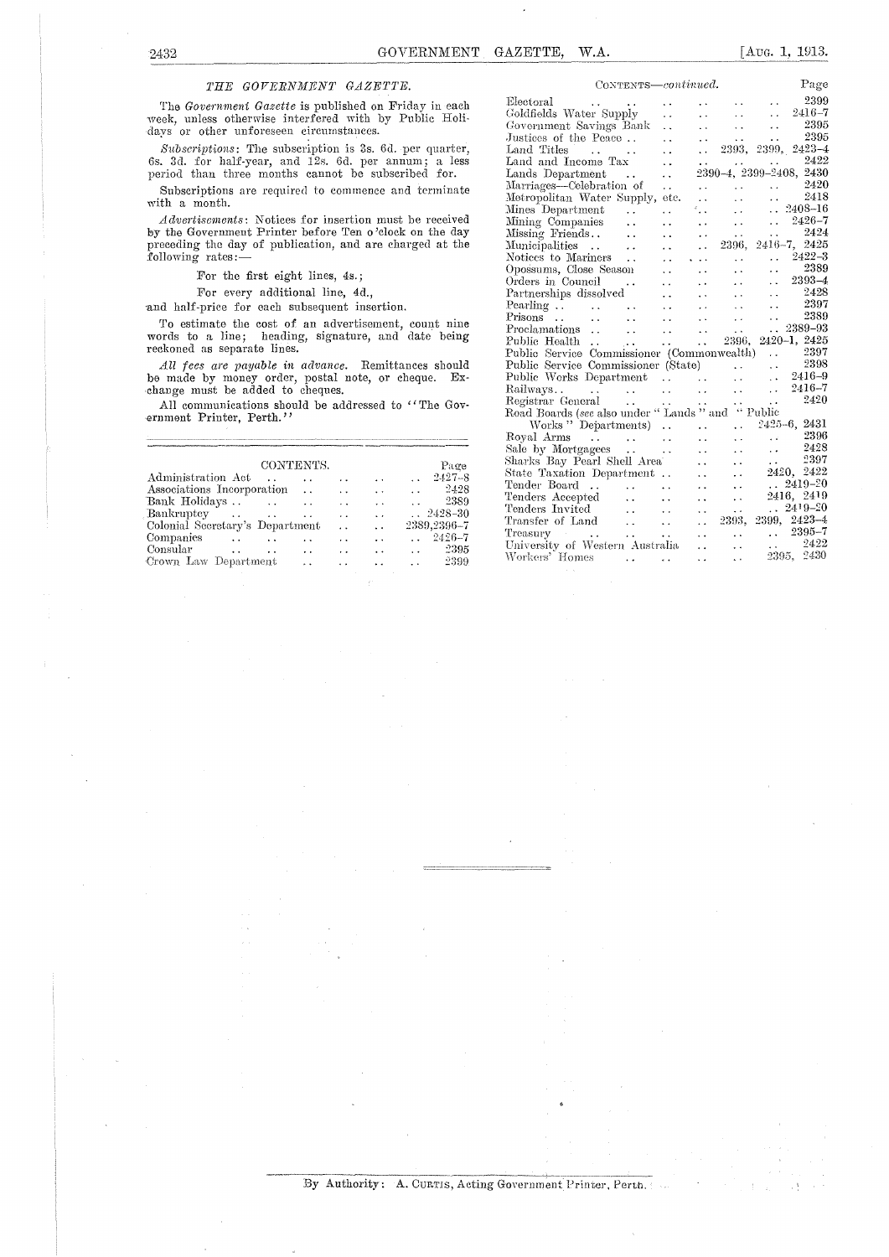## *THE GOVERNMENT GAZETTE.*

The *Government Gazette* is published on Friday in each week, unless otherwise interfered with by Public Holidays or other unforeseen circumstances.

*Subscriptions:* The subscription is 3s. Gd. per quarter, 65. 3d. for half-year, and 12s. Gd. per annum; a less period than three months cannot be subscribed for.

Subscriptions are required to commence and terminate with a month.

*Advertisements:* Notices for insertion must be received by the Government Printer before Ten o 'clock on the day preceding the day of publication, and are charged at the following rates:—

For the first eight lines, 4s.;

For every additional line, 4d.,

*sand* half-price for each subsequent insertion.

To estimate the cost of an advertisement, count nine words to a line; heading, signature, and date being reckoned as separate lines.

*All fees are payable in. advance.* Remittances should be made by money order, postal note, or cheque. Exchange must be added to cheques.

All communications should be addressed to "The Government Printer, Perth."

|                                 | CONTENTS.               |                                      |                      |                      |                      |                                                        |                      |
|---------------------------------|-------------------------|--------------------------------------|----------------------|----------------------|----------------------|--------------------------------------------------------|----------------------|
| Administration Act              |                         |                                      | $\ddot{\phantom{a}}$ |                      | $\sim$               |                                                        | $\ldots$ 2427-8      |
| Associations Incorporation      |                         |                                      |                      | $\ddot{\phantom{0}}$ | $\ddot{\phantom{a}}$ |                                                        | $\frac{2428}{ }$     |
| Bank Holidays                   |                         | <b><i>Company of the Company</i></b> | $\sim$ $\sim$        |                      | $\ddot{\phantom{1}}$ | <b>Allen Control</b>                                   | 2389                 |
| Bankruptcy                      |                         |                                      | $\ddot{\phantom{a}}$ | $\ddot{\phantom{a}}$ | $\ddot{\phantom{a}}$ |                                                        | $\therefore$ 2428-30 |
| Colonial Secretary's Department |                         |                                      |                      | $\ddot{\phantom{a}}$ | $\ddot{\phantom{0}}$ |                                                        | 2389,2396-7          |
| <b>Companies</b>                | $\sim 100$ km s $^{-1}$ | $\sim$ $\sim$                        | $\ddot{\phantom{1}}$ |                      | $\ddot{\phantom{0}}$ |                                                        | $\ldots$ 2426-7      |
| Consular                        | $\sim$                  |                                      | $\sim$               | $\ddot{\phantom{0}}$ | $\ddot{\phantom{0}}$ | $\mathbf{r}$ , and the state of the state $\mathbf{r}$ | 2395                 |
| Crown Law Department            |                         |                                      | $\ddot{\phantom{a}}$ |                      |                      | $\sim$ $\sim$                                          | -2399                |
|                                 |                         |                                      |                      |                      |                      |                                                        |                      |

| CONTENTS-continued.                                                                                                                   |                            |                        |                                                         | Page                                                                                                            |
|---------------------------------------------------------------------------------------------------------------------------------------|----------------------------|------------------------|---------------------------------------------------------|-----------------------------------------------------------------------------------------------------------------|
| Electoral<br>$\bullet$ , $\bullet$                                                                                                    | $\ddot{\phantom{0}}$       | $\ddot{\phantom{1}}$   | <b>CALL COV</b>                                         | 2399<br>$\mathcal{L}(\mathbf{r})$                                                                               |
| Goldfields Water Supply                                                                                                               | i.                         | $\ddot{\phantom{1}}$   | $\sim 10^{-1}$                                          | $\mathcal{L}(\mathcal{L})$<br>$2416 - 7$                                                                        |
| Government Savings Bank                                                                                                               | $\ddot{\phantom{0}}$       | $\ddotsc$              | $\mathbf{r}(\mathbf{z})$ .                              | 2395<br>and the con-                                                                                            |
| Justices of the Peace                                                                                                                 | $\ddot{\phantom{0}}$       | $\ddotsc$              | $\mathbf{A} \cdot \mathbf{A} = \mathbf{0}$              | 2395<br>$\ddot{\phantom{a}}$                                                                                    |
| Land Titles                                                                                                                           | $\ddot{\phantom{0}}$       | i i c                  |                                                         | 2393, 2399, 2423-4                                                                                              |
| Land and Income Tax                                                                                                                   | $\ddot{\phantom{0}}$       | <b>CALL CONTRACTOR</b> |                                                         | 2422<br><b>Contractor</b>                                                                                       |
| Lands Department                                                                                                                      | $\ddot{\phantom{a}}$       |                        |                                                         | 2390-4, 2399-2408, 2430                                                                                         |
| Marriages—Celebration of                                                                                                              | $\ddot{\phantom{0}}$       | $\ddotsc$              |                                                         | $\frac{2420}{2418}$                                                                                             |
| Metropolitan Water Supply, etc.                                                                                                       |                            | $\ddot{\phantom{0}}$   |                                                         |                                                                                                                 |
| Mines Department<br>$\sim$ $\sim$                                                                                                     | $\ddot{\phantom{0}}$       | ÷.,                    | уý.                                                     | $\therefore$ 2408-16                                                                                            |
| Mining Companies<br>$\ddot{\phantom{0}}$                                                                                              | $\ddot{\phantom{0}}$       | $\sim$ $\sim$          | $\sim 10^{-11}$                                         | $\ldots$ 2426-7                                                                                                 |
| Missing Friends                                                                                                                       | $\ddot{\phantom{0}}$       | $\ddot{\phantom{0}}$   |                                                         | $\ldots$ 2424                                                                                                   |
| Municipalities<br>$\ddot{\phantom{a}}$                                                                                                | $\ddot{\phantom{0}}$       | $\ddotsc$              |                                                         | $\frac{2424}{2396}, \frac{2416}{7}, \frac{2424}{2425}$                                                          |
| Notices to Mariners                                                                                                                   | . .                        | .                      | $\ddot{\phantom{a}}$                                    | $3422-3$                                                                                                        |
| Opossums, Close Season                                                                                                                | $\ddotsc$                  | $\ddot{\phantom{0}}$   | $\sim$                                                  | $\begin{array}{ccc} \dots & 2389 \\ \dots & 2393-4 \end{array}$                                                 |
| Orders in Council<br>$\sim$ $\sim$                                                                                                    | $\ddot{\phantom{a}}$       | $\ddotsc$              | $\mathbf{z}$ , $\mathbf{z}$ , $\mathbf{z}$              |                                                                                                                 |
| Partnerships dissolved                                                                                                                | $\ddot{\phantom{a}}$       | $\ddot{\phantom{0}}$   | $\mathcal{L}(\mathbf{r})$ and $\mathcal{L}(\mathbf{r})$ | $\ldots$ 2428                                                                                                   |
|                                                                                                                                       | $\ddot{\phantom{a}}$       | $\ddot{\phantom{0}}$   |                                                         | $\begin{array}{c} 2397 \ 2389 \end{array}$<br>$\mathbf{1} \times \mathbf{1}$ and $\mathbf{1} \times \mathbf{1}$ |
|                                                                                                                                       | $\ddotsc$                  | $\ddotsc$              | $\mathbf{r} \leftarrow \mathbf{r}$ .                    | $\ddot{\phantom{1}}$ .                                                                                          |
| Proclamations<br>$\sim 100$ km s $^{-1}$                                                                                              | $\mathbf{r}(\mathbf{r})$ . | $\ddot{\phantom{0}}$   | $\ddot{\phantom{0}}$                                    | 2389-93<br>$\ddotsc$                                                                                            |
| Public Health<br>$\sim 10$                                                                                                            | $\ddot{\phantom{0}}$       | $\mathbf{1}$           |                                                         | 2396, 2420-1, 2425                                                                                              |
| Public Service Commissioner (Commonwealth)                                                                                            |                            |                        |                                                         | $\ldots$ 2397                                                                                                   |
| Public Service Commissioner (State)                                                                                                   |                            |                        |                                                         | $\ldots$ 2398                                                                                                   |
| Public Works Department                                                                                                               |                            |                        |                                                         | $\therefore$ 2416-9                                                                                             |
| Railways                                                                                                                              |                            |                        |                                                         | $\ldots$ 2416-7                                                                                                 |
|                                                                                                                                       |                            |                        |                                                         | 2420                                                                                                            |
| Railways<br>Registrar General<br>Road Boards (see also under "Lands " and "Public<br>Road Boards (see also under "Lands " and "Public |                            |                        |                                                         |                                                                                                                 |
| Works "Departments)                                                                                                                   |                            | $\ddot{\phantom{0}}$   | $\mathbf{1}$                                            | 2425-6, 2431                                                                                                    |
| Royal Arms                                                                                                                            |                            | $\ddot{\phantom{a}}$   | $\ddot{\phantom{a}}$                                    | $\ldots$ 2396                                                                                                   |
| Sale by Mortgagees                                                                                                                    |                            | $\ddot{\phantom{a}}$   | $\ddot{\phantom{a}}$                                    | 2428<br>$\ddot{\phantom{a}}$                                                                                    |
| Sharks Bay Pearl Shell Area                                                                                                           |                            | έ.                     | $\ddot{\phantom{0}}$                                    | 2397<br>$\mathbf{z}$ , $\mathbf{z}$ , $\mathbf{z}$ , $\mathbf{z}$                                               |
| State Taxation Department                                                                                                             |                            | $\ddot{\phantom{a}}$   | $\ddot{\phantom{0}}$                                    | 2420, 2422                                                                                                      |
| Tender Board  .                                                                                                                       | <b>Contract</b>            | $\ddot{\phantom{0}}$   | $\ddot{\phantom{0}}$                                    | $\therefore$ 2419-20                                                                                            |
|                                                                                                                                       | $\ddot{\phantom{a}}$       | i.                     | $\ddot{\phantom{0}}$                                    | 2416, 2419                                                                                                      |
| Tenders Accepted<br>Tenders Invited                                                                                                   | $\sim$                     | $\ddotsc$              | $\ddot{\phantom{0}}$                                    | $.2419 - 20$                                                                                                    |
| Tenders Invited<br>Transfer of Land                                                                                                   | $\sim 100$                 | $\mathbf{L}$           |                                                         | 2393, 2399, 2423-4                                                                                              |
| Treasury<br>$\cdots$                                                                                                                  | $\ddot{\phantom{a}}$       | <b>College</b>         | <b>Contractor</b>                                       | $\ldots$ 2395-7                                                                                                 |
| University of Western Australia                                                                                                       |                            | $\mathbf{A}$           | $\ddot{\phantom{0}}$                                    | $\begin{array}{ll} \ldots & \phantom{0} 2422 \\ \textcolor{blue}{2395}, \phantom{0} 2430 \end{array}$           |
| Workers' Homes<br>the company of the company of the company of the company of the company of the company of                           |                            |                        |                                                         |                                                                                                                 |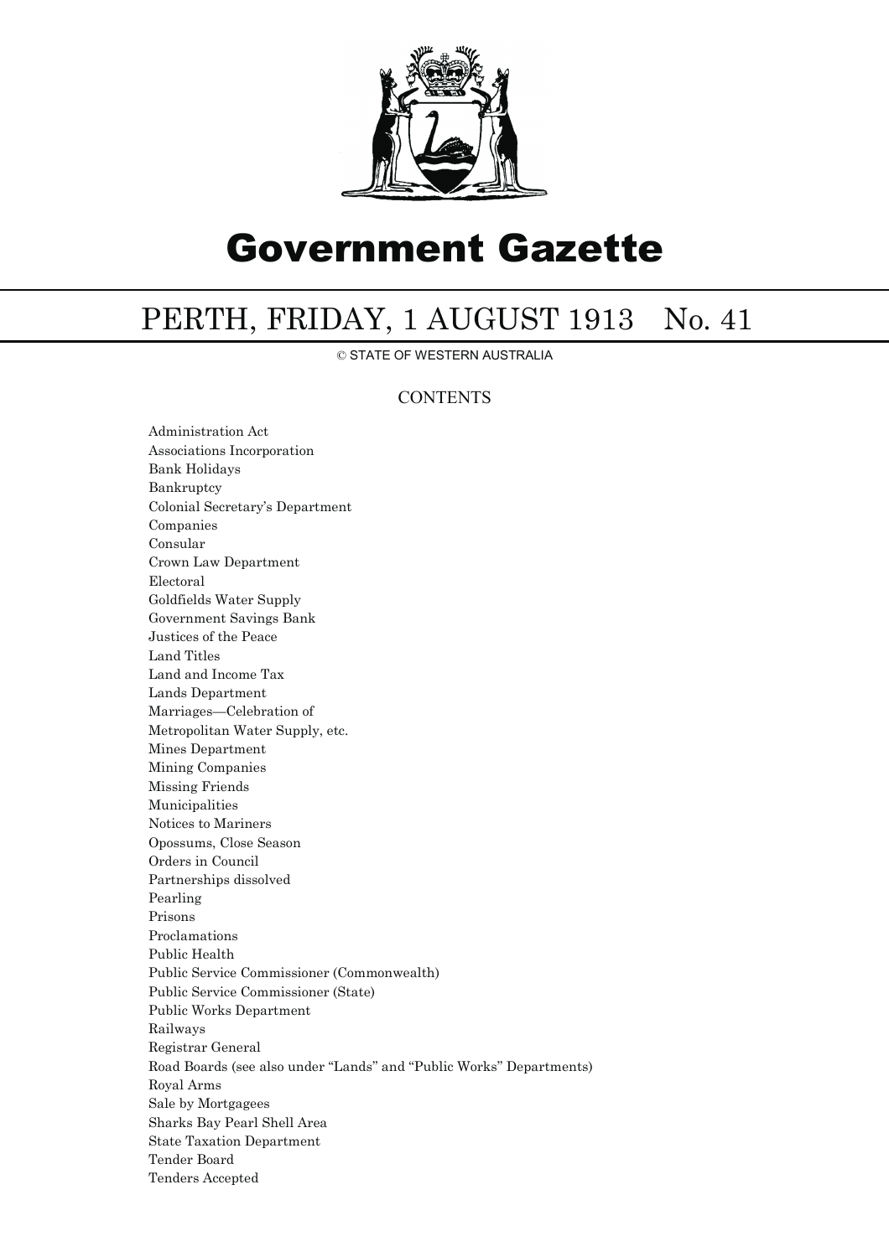

## Government Gazette

## PERTH, FRIDAY, 1 AUGUST 1913 No. 41

© STATE OF WESTERN AUSTRALIA

## **CONTENTS**

Administration Act Associations Incorporation Bank Holidays Bankruptcy Colonial Secretary's Department Companies Consular Crown Law Department Electoral Goldfields Water Supply Government Savings Bank Justices of the Peace Land Titles Land and Income Tax Lands Department Marriages—Celebration of Metropolitan Water Supply, etc. Mines Department Mining Companies Missing Friends Municipalities Notices to Mariners Opossums, Close Season Orders in Council Partnerships dissolved Pearling Prisons Proclamations Public Health Public Service Commissioner (Commonwealth) Public Service Commissioner (State) Public Works Department Railways Registrar General Road Boards (see also under ''Lands'' and ''Public Works'' Departments) Royal Arms Sale by Mortgagees Sharks Bay Pearl Shell Area State Taxation Department Tender Board Tenders Accepted